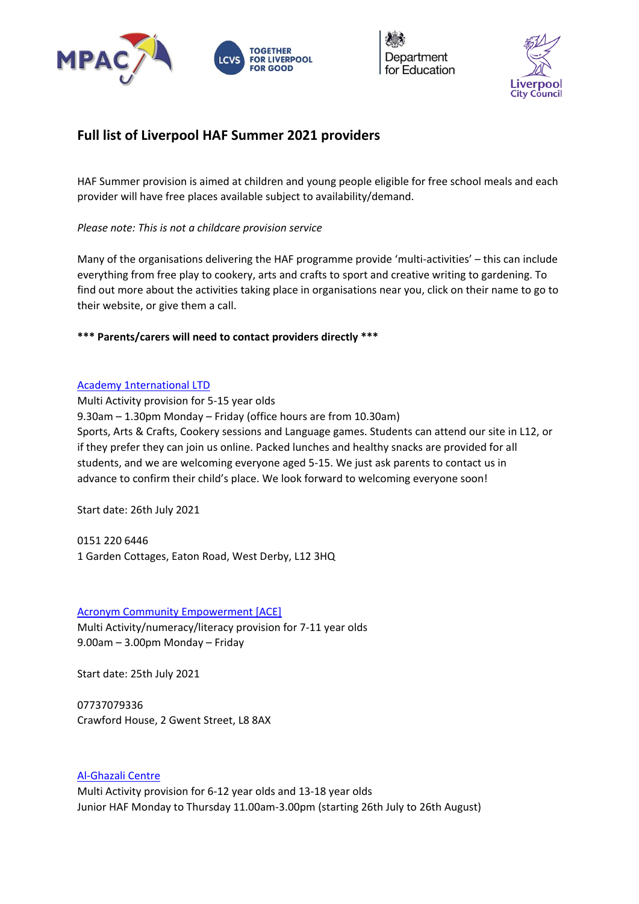



# **Full list of Liverpool HAF Summer 2021 providers**

HAF Summer provision is aimed at children and young people eligible for free school meals and each provider will have free places available subject to availability/demand.

*Please note: This is not a childcare provision service*

Many of the organisations delivering the HAF programme provide 'multi-activities' – this can include everything from free play to cookery, arts and crafts to sport and creative writing to gardening. To find out more about the activities taking place in organisations near you, click on their name to go to their website, or give them a call.

**\*\*\* Parents/carers will need to contact providers directly \*\*\***

#### [Academy 1nternational LTD](http://academy1nternational.co.uk/)

Multi Activity provision for 5-15 year olds 9.30am – 1.30pm Monday – Friday (office hours are from 10.30am) Sports, Arts & Crafts, Cookery sessions and Language games. Students can attend our site in L12, or if they prefer they can join us online. Packed lunches and healthy snacks are provided for all students, and we are welcoming everyone aged 5-15. We just ask parents to contact us in advance to confirm their child's place. We look forward to welcoming everyone soon!

Start date: 26th July 2021

0151 220 6446 1 Garden Cottages, Eaton Road, West Derby, L12 3HQ

# [Acronym Community Empowerment \[ACE\]](https://www.acronymcommunityempowerment.org/)

Multi Activity/numeracy/literacy provision for 7-11 year olds 9.00am – 3.00pm Monday – Friday

Start date: 25th July 2021

07737079336 Crawford House, 2 Gwent Street, L8 8AX

# [Al-Ghazali Centre](https://alghazalicentre.co.uk/)

Multi Activity provision for 6-12 year olds and 13-18 year olds Junior HAF Monday to Thursday 11.00am-3.00pm (starting 26th July to 26th August)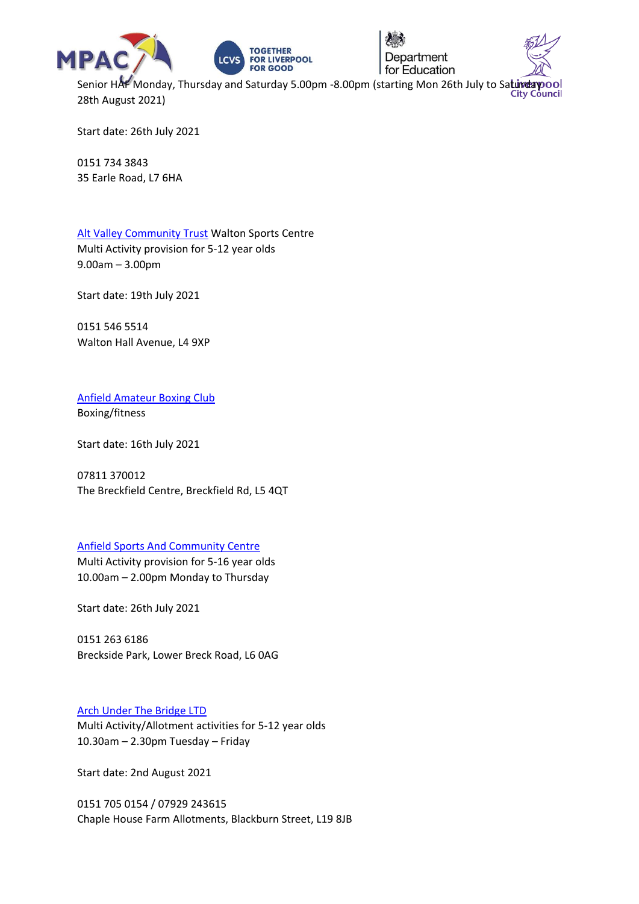







Senior HAF Monday, Thursday and Saturday 5.00pm -8.00pm (starting Mon 26th July to Saturday pool 28th August 2021)

Start date: 26th July 2021

0151 734 3843 35 Earle Road, L7 6HA

[Alt Valley Community Trust](https://www.altvalley.co.uk/lifestyleswalton) Walton Sports Centre Multi Activity provision for 5-12 year olds 9.00am – 3.00pm

Start date: 19th July 2021

0151 546 5514 Walton Hall Avenue, L4 9XP

[Anfield Amateur Boxing Club](https://www.thelivewelldirectory.com/Services/2470/Anfield-North-Live) Boxing/fitness

Start date: 16th July 2021

07811 370012 The Breckfield Centre, Breckfield Rd, L5 4QT

#### [Anfield Sports And Community Centre](https://www.anfieldsports.org/)

Multi Activity provision for 5-16 year olds 10.00am – 2.00pm Monday to Thursday

Start date: 26th July 2021

0151 263 6186 Breckside Park, Lower Breck Road, L6 0AG

# [Arch Under The Bridge LTD](https://www.facebook.com/thearchutb/)

Multi Activity/Allotment activities for 5-12 year olds 10.30am – 2.30pm Tuesday – Friday

Start date: 2nd August 2021

0151 705 0154 / 07929 243615 Chaple House Farm Allotments, Blackburn Street, L19 8JB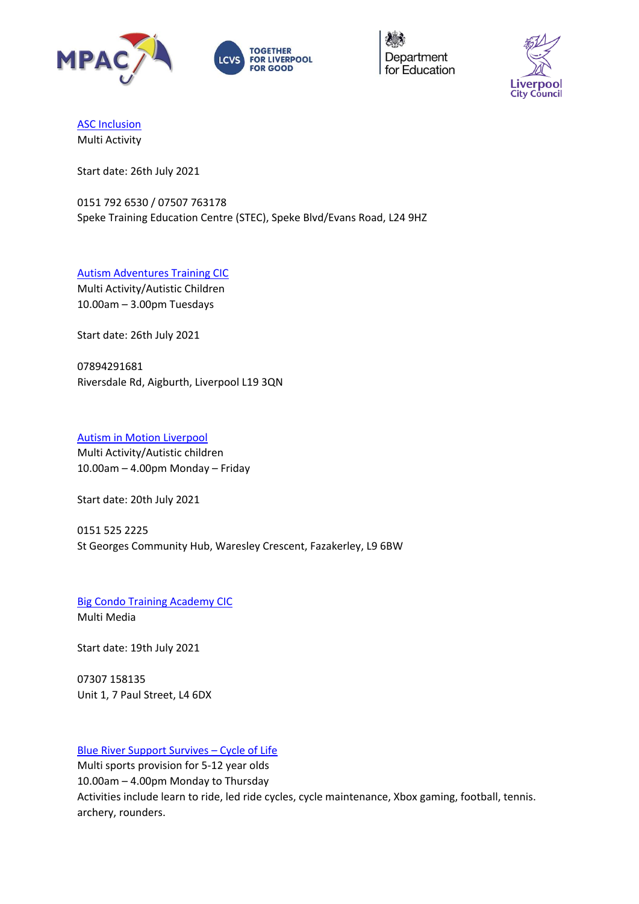





[ASC Inclusion](http://www.asc-inclusion.org/)

Multi Activity

Start date: 26th July 2021

0151 792 6530 / 07507 763178 Speke Training Education Centre (STEC), Speke Blvd/Evans Road, L24 9HZ

[Autism Adventures Training CIC](http://liverpoolautismadventures.co.uk/) Multi Activity/Autistic Children 10.00am – 3.00pm Tuesdays

Start date: 26th July 2021

07894291681 Riversdale Rd, Aigburth, Liverpool L19 3QN

# [Autism in Motion](https://www.aimautism.com/) Liverpool

Multi Activity/Autistic children 10.00am – 4.00pm Monday – Friday

Start date: 20th July 2021

0151 525 2225 St Georges Community Hub, Waresley Crescent, Fazakerley, L9 6BW

[Big Condo Training Academy CIC](http://bigcondoacademy.co.uk/) Multi Media

Start date: 19th July 2021

07307 158135 Unit 1, 7 Paul Street, L4 6DX

# [Blue River Support Survives](http://col8.org/) – Cycle of Life

Multi sports provision for 5-12 year olds 10.00am – 4.00pm Monday to Thursday Activities include learn to ride, led ride cycles, cycle maintenance, Xbox gaming, football, tennis. archery, rounders.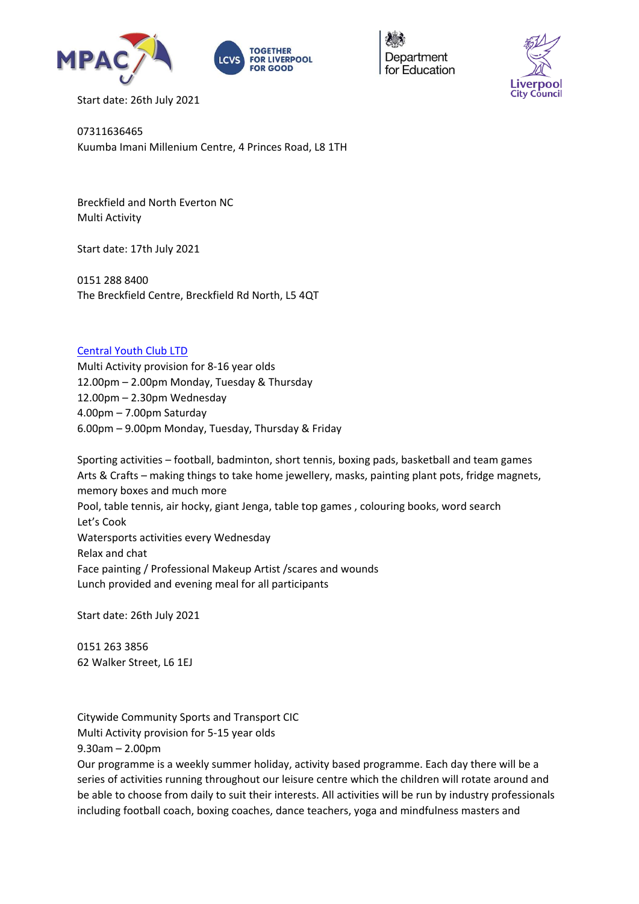





Start date: 26th July 2021

07311636465 Kuumba Imani Millenium Centre, 4 Princes Road, L8 1TH

Breckfield and North Everton NC Multi Activity

Start date: 17th July 2021

0151 288 8400 The Breckfield Centre, Breckfield Rd North, L5 4QT

### [Central Youth Club LTD](https://www.familiesonline.co.uk/local/liverpool/listing/central-youth-club-liverpool-186457)

Multi Activity provision for 8-16 year olds 12.00pm – 2.00pm Monday, Tuesday & Thursday 12.00pm – 2.30pm Wednesday 4.00pm – 7.00pm Saturday 6.00pm – 9.00pm Monday, Tuesday, Thursday & Friday

Sporting activities – football, badminton, short tennis, boxing pads, basketball and team games Arts & Crafts – making things to take home jewellery, masks, painting plant pots, fridge magnets, memory boxes and much more Pool, table tennis, air hocky, giant Jenga, table top games , colouring books, word search Let's Cook Watersports activities every Wednesday Relax and chat Face painting / Professional Makeup Artist / scares and wounds Lunch provided and evening meal for all participants

Start date: 26th July 2021

0151 263 3856 62 Walker Street, L6 1EJ

Citywide Community Sports and Transport CIC Multi Activity provision for 5-15 year olds 9.30am – 2.00pm

Our programme is a weekly summer holiday, activity based programme. Each day there will be a series of activities running throughout our leisure centre which the children will rotate around and be able to choose from daily to suit their interests. All activities will be run by industry professionals including football coach, boxing coaches, dance teachers, yoga and mindfulness masters and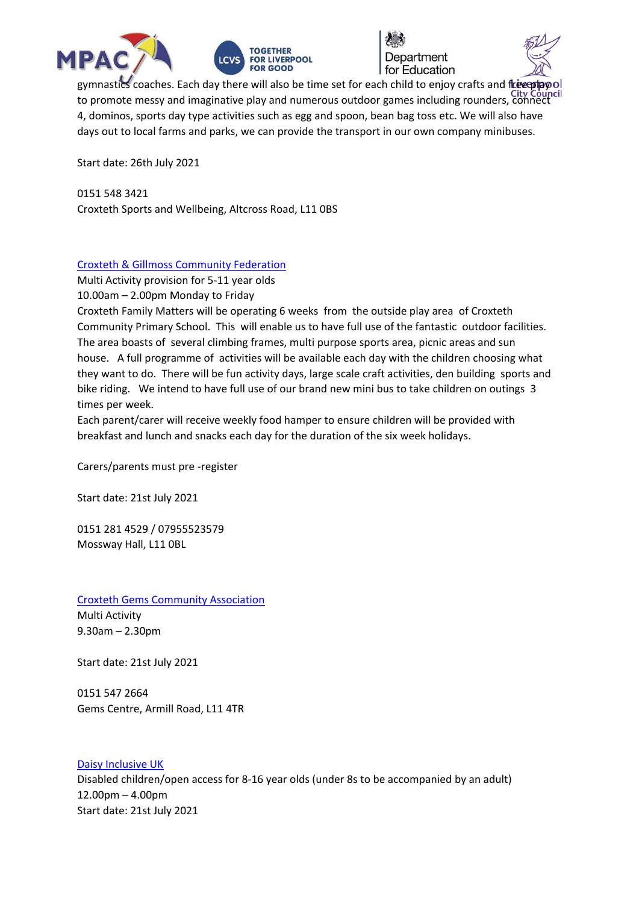





gymnastics coaches. Each day there will also be time set for each child to enjoy crafts and free play to promote messy and imaginative play and numerous outdoor games including rounders, connect 4, dominos, sports day type activities such as egg and spoon, bean bag toss etc. We will also have days out to local farms and parks, we can provide the transport in our own company minibuses.

Start date: 26th July 2021

0151 548 3421 Croxteth Sports and Wellbeing, Altcross Road, L11 0BS

### [Croxteth & Gillmoss Community Federation](http://www.croxtethfamilymatters.co.uk/home.html)

Multi Activity provision for 5-11 year olds 10.00am – 2.00pm Monday to Friday

Croxteth Family Matters will be operating 6 weeks from the outside play area of Croxteth Community Primary School. This will enable us to have full use of the fantastic outdoor facilities. The area boasts of several climbing frames, multi purpose sports area, picnic areas and sun house. A full programme of activities will be available each day with the children choosing what they want to do. There will be fun activity days, large scale craft activities, den building sports and bike riding. We intend to have full use of our brand new mini bus to take children on outings 3 times per week.

Each parent/carer will receive weekly food hamper to ensure children will be provided with breakfast and lunch and snacks each day for the duration of the six week holidays.

Carers/parents must pre -register

Start date: 21st July 2021

0151 281 4529 / 07955523579 Mossway Hall, L11 0BL

[Croxteth Gems Community Association](https://www.facebook.com/Croxteth-Gems-1764266527136603/) Multi Activity 9.30am – 2.30pm

Start date: 21st July 2021

0151 547 2664 Gems Centre, Armill Road, L11 4TR

[Daisy Inclusive UK](https://daisyuk.com/) Disabled children/open access for 8-16 year olds (under 8s to be accompanied by an adult) 12.00pm – 4.00pm Start date: 21st July 2021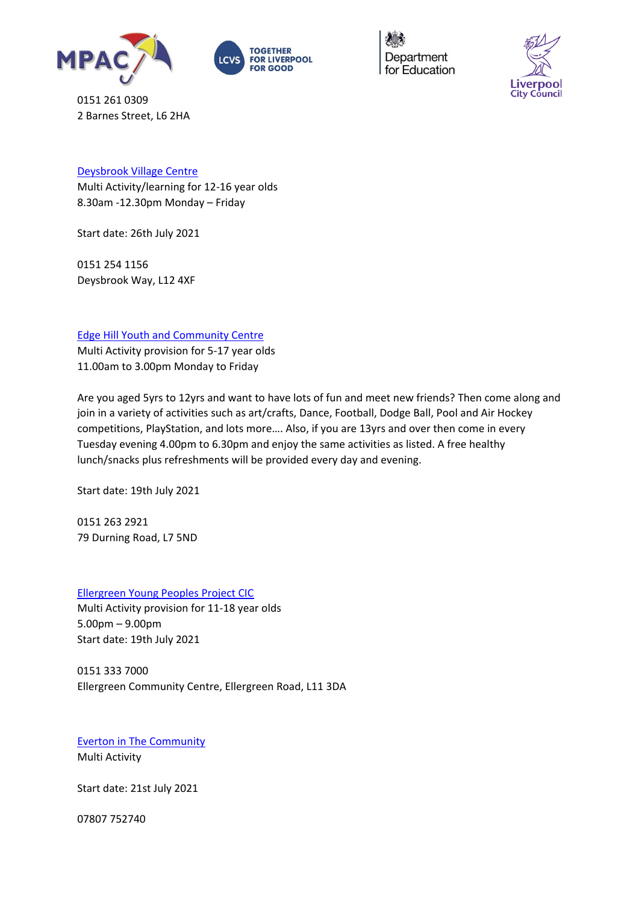





0151 261 0309 2 Barnes Street, L6 2HA

# [Deysbrook Village Centre](https://www.facebook.com/deysbrook.centre/)

Multi Activity/learning for 12-16 year olds 8.30am -12.30pm Monday – Friday

Start date: 26th July 2021

0151 254 1156 Deysbrook Way, L12 4XF

# [Edge Hill Youth and Community Centre](https://ehycc.co.uk/)

Multi Activity provision for 5-17 year olds 11.00am to 3.00pm Monday to Friday

Are you aged 5yrs to 12yrs and want to have lots of fun and meet new friends? Then come along and join in a variety of activities such as art/crafts, Dance, Football, Dodge Ball, Pool and Air Hockey competitions, PlayStation, and lots more…. Also, if you are 13yrs and over then come in every Tuesday evening 4.00pm to 6.30pm and enjoy the same activities as listed. A free healthy lunch/snacks plus refreshments will be provided every day and evening.

Start date: 19th July 2021

0151 263 2921 79 Durning Road, L7 5ND

[Ellergreen Young Peoples Project CIC](https://www.facebook.com/Ellergreen-Community-Centre-1622527047766550/about/)

Multi Activity provision for 11-18 year olds 5.00pm – 9.00pm Start date: 19th July 2021

0151 333 7000 Ellergreen Community Centre, Ellergreen Road, L11 3DA

[Everton in The Community](https://www.evertoninthecommunity.org/) Multi Activity

Start date: 21st July 2021

07807 752740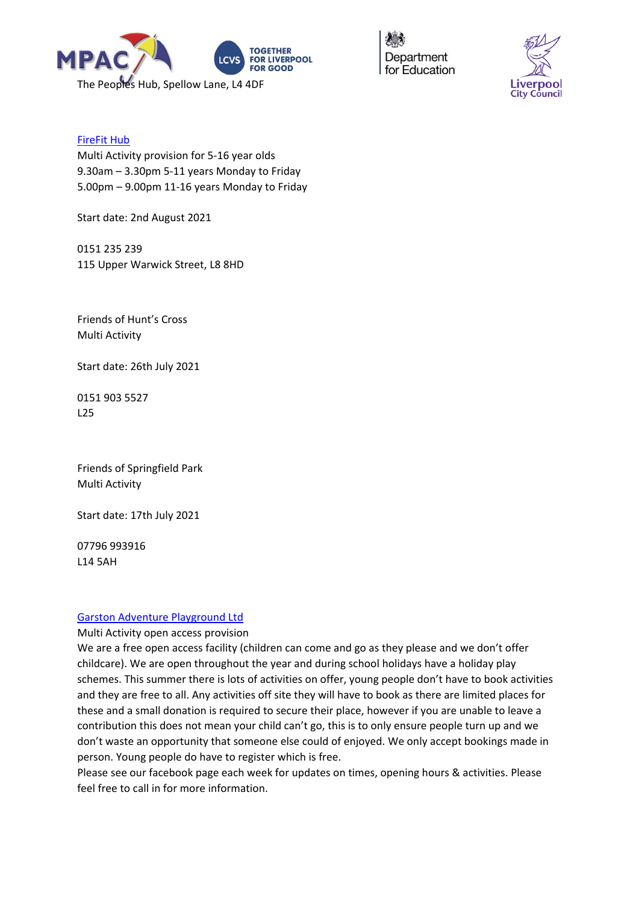



### [FireFit Hub](http://www.firefithub.org.uk/)

Multi Activity provision for 5-16 year olds 9.30am – 3.30pm 5-11 years Monday to Friday 5.00pm – 9.00pm 11-16 years Monday to Friday

Start date: 2nd August 2021

0151 235 239 115 Upper Warwick Street, L8 8HD

Friends of Hunt's Cross Multi Activity

Start date: 26th July 2021

0151 903 5527 L25

Friends of Springfield Park Multi Activity

Start date: 17th July 2021

07796 993916 L14 5AH

#### [Garston Adventure Playground Ltd](http://www.garstonplay.com/)

Multi Activity open access provision

We are a free open access facility (children can come and go as they please and we don't offer childcare). We are open throughout the year and during school holidays have a holiday play schemes. This summer there is lots of activities on offer, young people don't have to book activities and they are free to all. Any activities off site they will have to book as there are limited places for these and a small donation is required to secure their place, however if you are unable to leave a contribution this does not mean your child can't go, this is to only ensure people turn up and we don't waste an opportunity that someone else could of enjoyed. We only accept bookings made in person. Young people do have to register which is free.

Please see our facebook page each week for updates on times, opening hours & activities. Please feel free to call in for more information.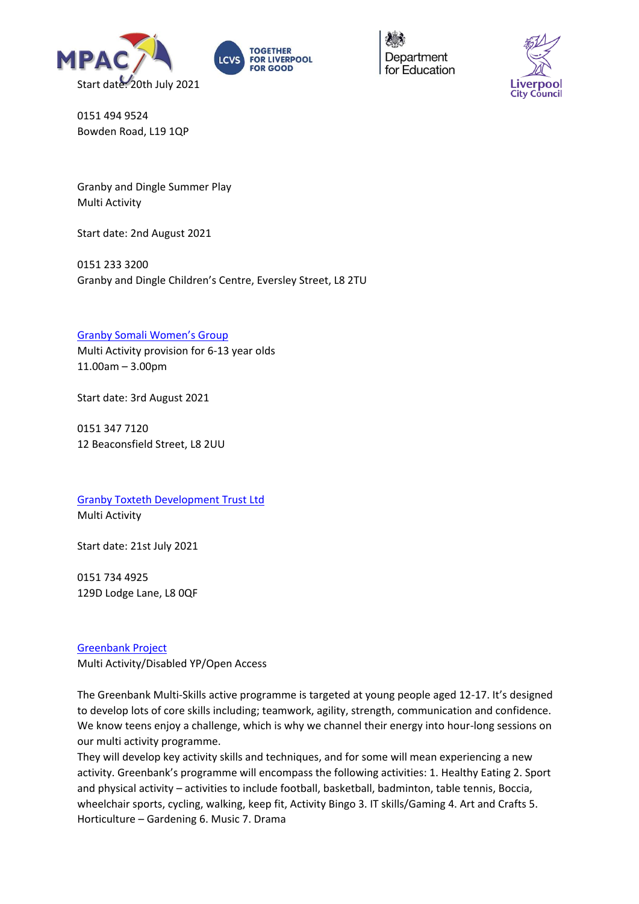





0151 494 9524 Bowden Road, L19 1QP

Granby and Dingle Summer Play Multi Activity

Start date: 2nd August 2021

0151 233 3200 Granby and Dingle Children's Centre, Eversley Street, L8 2TU

### [Granby Somali Women's Group](http://www.granbysomaliwomensgroup.org/)

Multi Activity provision for 6-13 year olds 11.00am – 3.00pm

Start date: 3rd August 2021

0151 347 7120 12 Beaconsfield Street, L8 2UU

[Granby Toxteth Development Trust Ltd](http://www.gtdt.co.uk/) Multi Activity

Start date: 21st July 2021

0151 734 4925 129D Lodge Lane, L8 0QF

[Greenbank Project](https://www.greenbank.org.uk/) Multi Activity/Disabled YP/Open Access

The Greenbank Multi-Skills active programme is targeted at young people aged 12-17. It's designed to develop lots of core skills including; teamwork, agility, strength, communication and confidence. We know teens enjoy a challenge, which is why we channel their energy into hour-long sessions on our multi activity programme.

They will develop key activity skills and techniques, and for some will mean experiencing a new activity. Greenbank's programme will encompass the following activities: 1. Healthy Eating 2. Sport and physical activity – activities to include football, basketball, badminton, table tennis, Boccia, wheelchair sports, cycling, walking, keep fit, Activity Bingo 3. IT skills/Gaming 4. Art and Crafts 5. Horticulture – Gardening 6. Music 7. Drama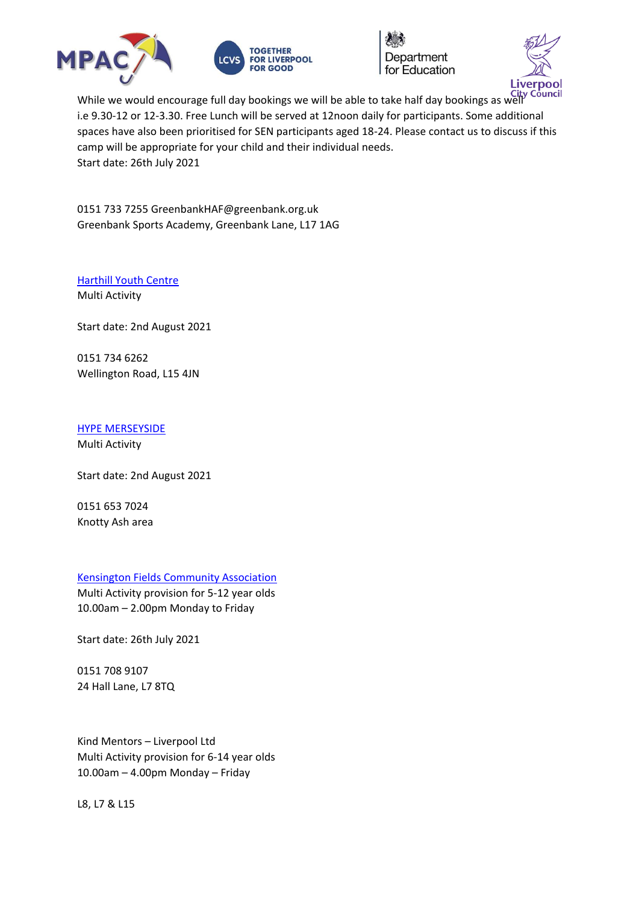





While we would encourage full day bookings we will be able to take half day bookings as well i.e 9.30-12 or 12-3.30. Free Lunch will be served at 12noon daily for participants. Some additional spaces have also been prioritised for SEN participants aged 18-24. Please contact us to discuss if this camp will be appropriate for your child and their individual needs. Start date: 26th July 2021

0151 733 7255 GreenbankHAF@greenbank.org.uk Greenbank Sports Academy, Greenbank Lane, L17 1AG

[Harthill Youth Centre](https://www.familiesonline.co.uk/local/liverpool/listing/harthill-youth-centre-190911) Multi Activity

Start date: 2nd August 2021

0151 734 6262 Wellington Road, L15 4JN

[HYPE MERSEYSIDE](http://hype-merseyside.co.uk/)

Multi Activity

Start date: 2nd August 2021

0151 653 7024 Knotty Ash area

[Kensington Fields Community Association](https://www.facebook.com/Kensington-Fields-Community-Centre-152367372066953/)

Multi Activity provision for 5-12 year olds 10.00am – 2.00pm Monday to Friday

Start date: 26th July 2021

0151 708 9107 24 Hall Lane, L7 8TQ

Kind Mentors – Liverpool Ltd Multi Activity provision for 6-14 year olds 10.00am – 4.00pm Monday – Friday

L8, L7 & L15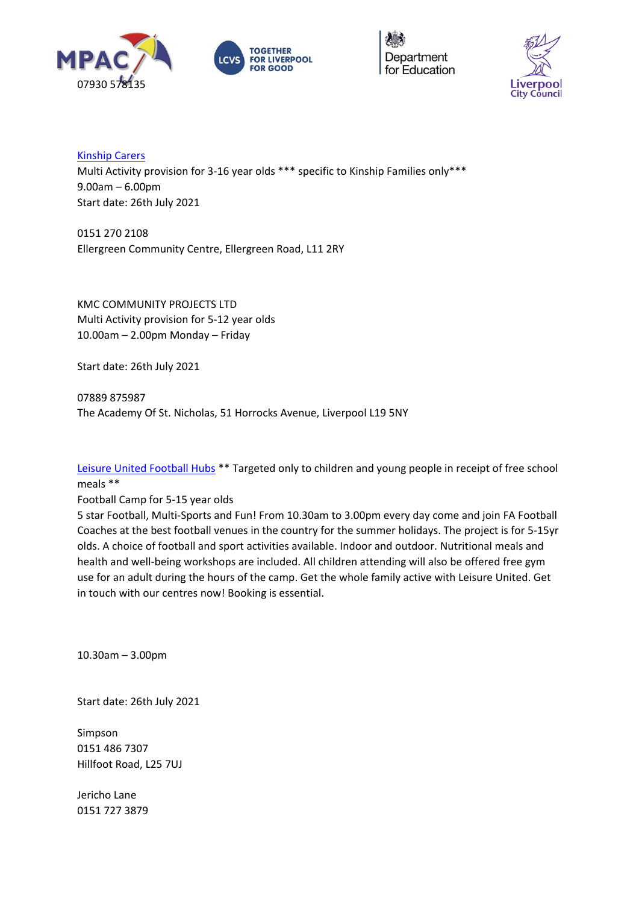





[Kinship Carers](https://kinshipcarersliverpool.co.uk/) Multi Activity provision for 3-16 year olds \*\*\* specific to Kinship Families only\*\*\* 9.00am – 6.00pm Start date: 26th July 2021

0151 270 2108 Ellergreen Community Centre, Ellergreen Road, L11 2RY

KMC COMMUNITY PROJECTS LTD Multi Activity provision for 5-12 year olds 10.00am – 2.00pm Monday – Friday

Start date: 26th July 2021

07889 875987 The Academy Of St. Nicholas, 51 Horrocks Avenue, Liverpool L19 5NY

[Leisure United Football Hubs](https://leisureunited.com/) \*\* Targeted only to children and young people in receipt of free school meals \*\*

Football Camp for 5-15 year olds

5 star Football, Multi-Sports and Fun! From 10.30am to 3.00pm every day come and join FA Football Coaches at the best football venues in the country for the summer holidays. The project is for 5-15yr olds. A choice of football and sport activities available. Indoor and outdoor. Nutritional meals and health and well-being workshops are included. All children attending will also be offered free gym use for an adult during the hours of the camp. Get the whole family active with Leisure United. Get in touch with our centres now! Booking is essential.

10.30am – 3.00pm

Start date: 26th July 2021

Simpson 0151 486 7307 Hillfoot Road, L25 7UJ

Jericho Lane 0151 727 3879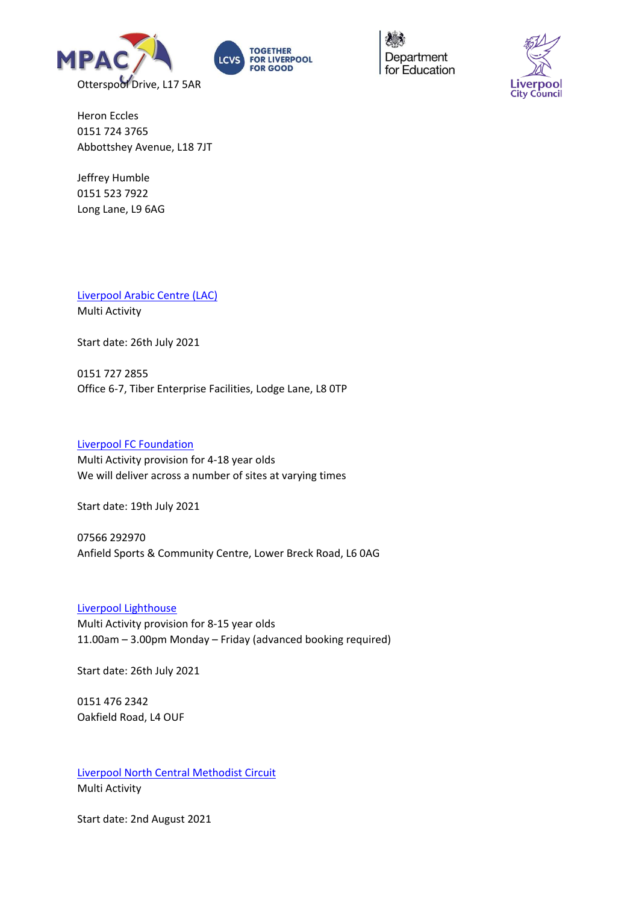





Heron Eccles 0151 724 3765 Abbottshey Avenue, L18 7JT

Jeffrey Humble 0151 523 7922 Long Lane, L9 6AG

[Liverpool Arabic Centre \(LAC\)](https://liverpoolarabiccentre.org.uk/) Multi Activity

Start date: 26th July 2021

0151 727 2855 Office 6-7, Tiber Enterprise Facilities, Lodge Lane, L8 0TP

### [Liverpool FC Foundation](https://foundation.liverpoolfc.com/)

Multi Activity provision for 4-18 year olds We will deliver across a number of sites at varying times

Start date: 19th July 2021

07566 292970 Anfield Sports & Community Centre, Lower Breck Road, L6 0AG

#### [Liverpool Lighthouse](https://www.liverpoollighthouse.com/home)

Multi Activity provision for 8-15 year olds 11.00am – 3.00pm Monday – Friday (advanced booking required)

Start date: 26th July 2021

0151 476 2342 Oakfield Road, L4 OUF

[Liverpool North Central Methodist Circuit](https://www.liverpoolnorthcentral.org.uk/) Multi Activity

Start date: 2nd August 2021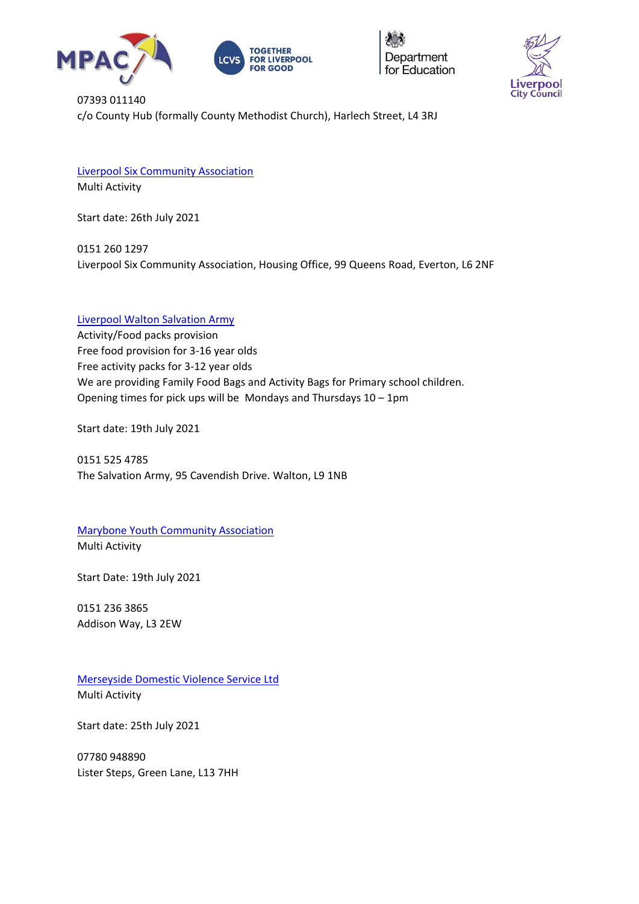





07393 011140 c/o County Hub (formally County Methodist Church), Harlech Street, L4 3RJ

[Liverpool Six Community Association](https://liverpool6community.wixsite.com/website) Multi Activity

Start date: 26th July 2021

0151 260 1297 Liverpool Six Community Association, Housing Office, 99 Queens Road, Everton, L6 2NF

# [Liverpool Walton Salvation Army](https://www.salvationarmy.org.uk/liverpool-walton)

Activity/Food packs provision Free food provision for 3-16 year olds Free activity packs for 3-12 year olds We are providing Family Food Bags and Activity Bags for Primary school children. Opening times for pick ups will be Mondays and Thursdays 10 – 1pm

Start date: 19th July 2021

0151 525 4785 The Salvation Army, 95 Cavendish Drive. Walton, L9 1NB

[Marybone Youth Community Association](http://www.marybone.org.uk/) Multi Activity

Start Date: 19th July 2021

0151 236 3865 Addison Way, L3 2EW

[Merseyside Domestic Violence Service Ltd](https://www.mdvs.org/) Multi Activity

Start date: 25th July 2021

07780 948890 Lister Steps, Green Lane, L13 7HH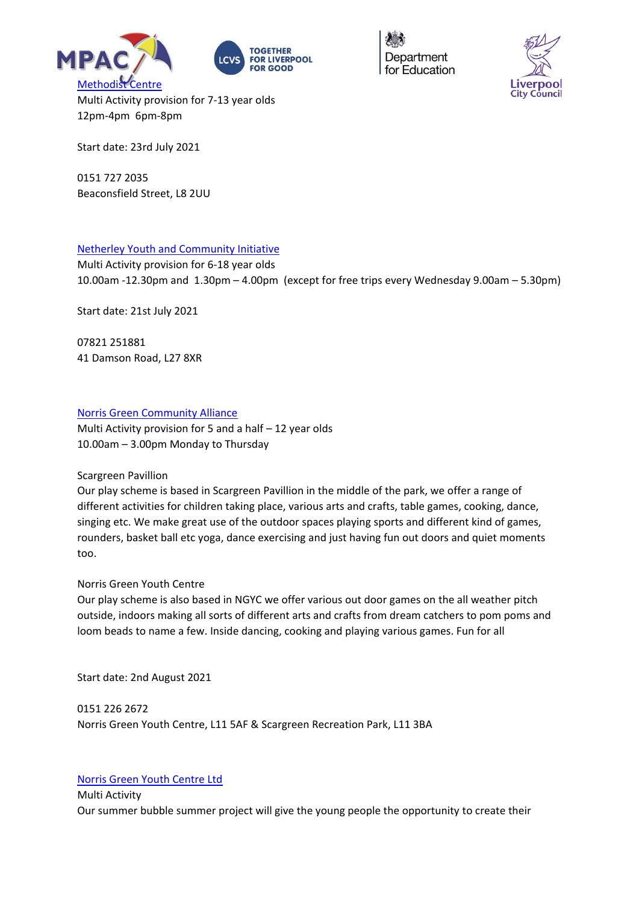





Multi Activity provision for 7-13 year olds 12pm-4pm 6pm-8pm

Start date: 23rd July 2021

0151 727 2035 Beaconsfield Street, L8 2UU

# [Netherley Youth and Community Initiative](https://nyci.co.uk/)

Multi Activity provision for 6-18 year olds 10.00am -12.30pm and 1.30pm – 4.00pm (except for free trips every Wednesday 9.00am – 5.30pm)

Start date: 21st July 2021

07821 251881 41 Damson Road, L27 8XR

# [Norris Green Community Alliance](https://www.facebook.com/NorrisGreenCommunityAlliance/)

Multi Activity provision for 5 and a half – 12 year olds 10.00am – 3.00pm Monday to Thursday

#### Scargreen Pavillion

Our play scheme is based in Scargreen Pavillion in the middle of the park, we offer a range of different activities for children taking place, various arts and crafts, table games, cooking, dance, singing etc. We make great use of the outdoor spaces playing sports and different kind of games, rounders, basket ball etc yoga, dance exercising and just having fun out doors and quiet moments too.

# Norris Green Youth Centre

Our play scheme is also based in NGYC we offer various out door games on the all weather pitch outside, indoors making all sorts of different arts and crafts from dream catchers to pom poms and loom beads to name a few. Inside dancing, cooking and playing various games. Fun for all

Start date: 2nd August 2021

0151 226 2672 Norris Green Youth Centre, L11 5AF & Scargreen Recreation Park, L11 3BA

# [Norris Green Youth Centre Ltd](https://www.facebook.com/norrisgreenyouthcentre/)

Multi Activity Our summer bubble summer project will give the young people the opportunity to create their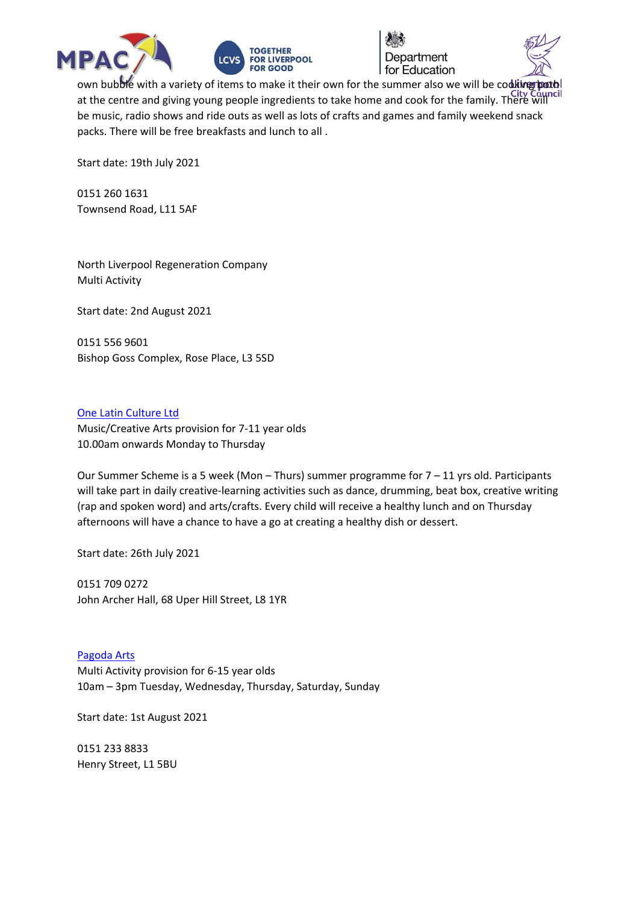





own bubble with a variety of items to make it their own for the summer also we will be coditing poth at the centre and giving young people ingredients to take home and cook for the family. There will be music, radio shows and ride outs as well as lots of crafts and games and family weekend snack packs. There will be free breakfasts and lunch to all .

Start date: 19th July 2021

0151 260 1631 Townsend Road, L11 5AF

North Liverpool Regeneration Company Multi Activity

Start date: 2nd August 2021

0151 556 9601 Bishop Goss Complex, Rose Place, L3 5SD

#### [One Latin Culture Ltd](http://onelatinculture.com/)

Music/Creative Arts provision for 7-11 year olds 10.00am onwards Monday to Thursday

Our Summer Scheme is a 5 week (Mon – Thurs) summer programme for 7 – 11 yrs old. Participants will take part in daily creative-learning activities such as dance, drumming, beat box, creative writing (rap and spoken word) and arts/crafts. Every child will receive a healthy lunch and on Thursday afternoons will have a chance to have a go at creating a healthy dish or dessert.

Start date: 26th July 2021

0151 709 0272 John Archer Hall, 68 Uper Hill Street, L8 1YR

[Pagoda Arts](http://pagodaarts.org.uk/) Multi Activity provision for 6-15 year olds 10am – 3pm Tuesday, Wednesday, Thursday, Saturday, Sunday

Start date: 1st August 2021

0151 233 8833 Henry Street, L1 5BU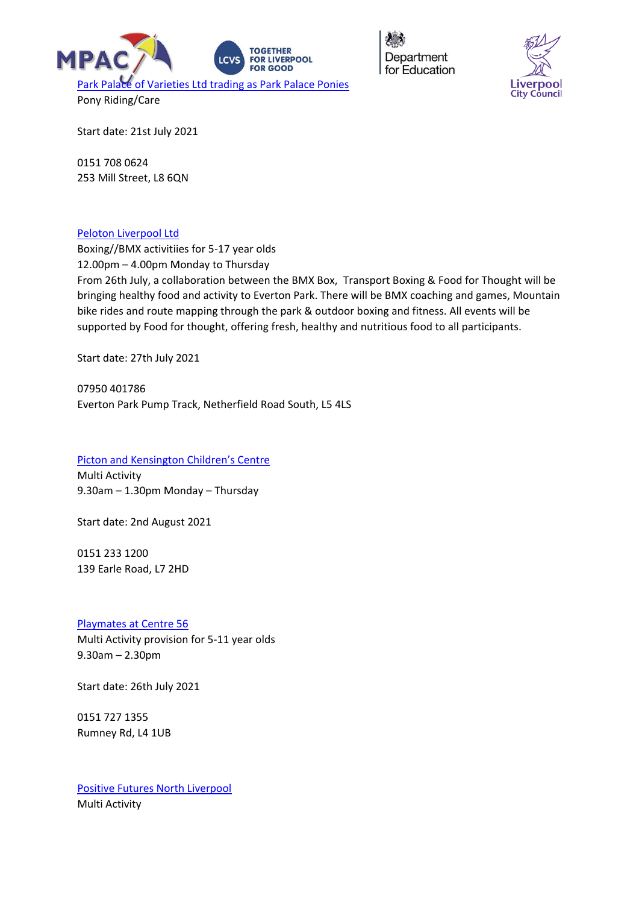



Start date: 21st July 2021

0151 708 0624 253 Mill Street, L8 6QN

#### [Peloton Liverpool Ltd](https://peloton.coop/)

Boxing//BMX activitiies for 5-17 year olds 12.00pm – 4.00pm Monday to Thursday From 26th July, a collaboration between the BMX Box, Transport Boxing & Food for Thought will be bringing healthy food and activity to Everton Park. There will be BMX coaching and games, Mountain bike rides and route mapping through the park & outdoor boxing and fitness. All events will be supported by Food for thought, offering fresh, healthy and nutritious food to all participants.

Start date: 27th July 2021

07950 401786 Everton Park Pump Track, Netherfield Road South, L5 4LS

#### [Picton and Kensington Children's Centre](https://www.facebook.com/pictoncc/)

Multi Activity 9.30am – 1.30pm Monday – Thursday

Start date: 2nd August 2021

0151 233 1200 139 Earle Road, L7 2HD

#### [Playmates at Centre 56](https://www.centre56.org.uk/)

Multi Activity provision for 5-11 year olds 9.30am – 2.30pm

Start date: 26th July 2021

0151 727 1355 Rumney Rd, L4 1UB

[Positive Futures North Liverpool](https://www.positivefutures.org.uk/) Multi Activity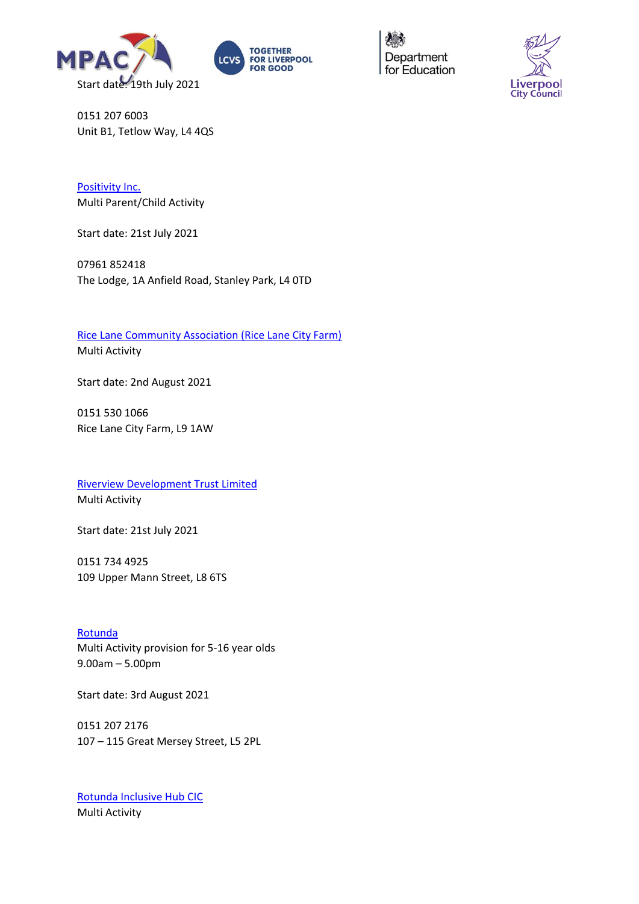





0151 207 6003 Unit B1, Tetlow Way, L4 4QS

[Positivity Inc.](https://www.facebook.com/PositivityInc.CIC/) Multi Parent/Child Activity

Start date: 21st July 2021

07961 852418 The Lodge, 1A Anfield Road, Stanley Park, L4 0TD

[Rice Lane Community Association \(Rice Lane City Farm\)](https://ricelanecityfarm.co.uk/) Multi Activity

Start date: 2nd August 2021

0151 530 1066 Rice Lane City Farm, L9 1AW

[Riverview Development Trust Limited](http://www.gtdt.co.uk/) Multi Activity

Start date: 21st July 2021

0151 734 4925 109 Upper Mann Street, L8 6TS

[Rotunda](https://www.therotunda.org.uk/) Multi Activity provision for 5-16 year olds 9.00am – 5.00pm

Start date: 3rd August 2021

0151 207 2176 107 – 115 Great Mersey Street, L5 2PL

[Rotunda Inclusive Hub CIC](https://theinclusivehub.co.uk/) Multi Activity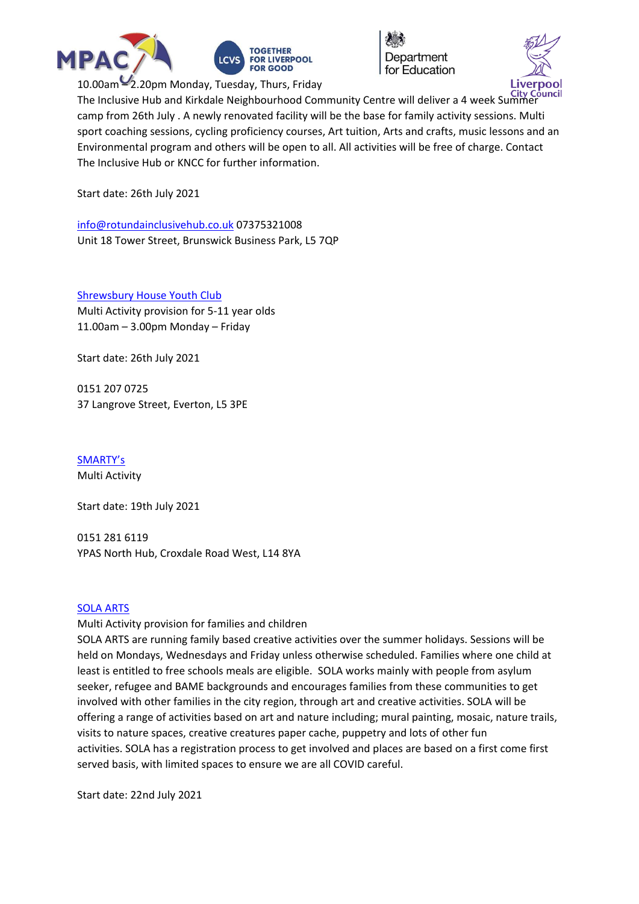





The Inclusive Hub and Kirkdale Neighbourhood Community Centre will deliver a 4 week Summer camp from 26th July . A newly renovated facility will be the base for family activity sessions. Multi sport coaching sessions, cycling proficiency courses, Art tuition, Arts and crafts, music lessons and an Environmental program and others will be open to all. All activities will be free of charge. Contact The Inclusive Hub or KNCC for further information.

Start date: 26th July 2021

[info@rotundainclusivehub.co.uk](mailto:info@rotundainclusivehub.co.uk) 07375321008 Unit 18 Tower Street, Brunswick Business Park, L5 7QP

[Shrewsbury House Youth Club](http://www.shrewsburyhouse.org.uk/) Multi Activity provision for 5-11 year olds 11.00am – 3.00pm Monday – Friday

Start date: 26th July 2021

0151 207 0725 37 Langrove Street, Everton, L5 3PE

[SMARTY's](https://www.facebook.com/smartysliverpool/) Multi Activity

Start date: 19th July 2021

0151 281 6119 YPAS North Hub, Croxdale Road West, L14 8YA

### [SOLA ARTS](http://solaarts.org/)

Multi Activity provision for families and children

SOLA ARTS are running family based creative activities over the summer holidays. Sessions will be held on Mondays, Wednesdays and Friday unless otherwise scheduled. Families where one child at least is entitled to free schools meals are eligible. SOLA works mainly with people from asylum seeker, refugee and BAME backgrounds and encourages families from these communities to get involved with other families in the city region, through art and creative activities. SOLA will be offering a range of activities based on art and nature including; mural painting, mosaic, nature trails, visits to nature spaces, creative creatures paper cache, puppetry and lots of other fun activities. SOLA has a registration process to get involved and places are based on a first come first served basis, with limited spaces to ensure we are all COVID careful.

Start date: 22nd July 2021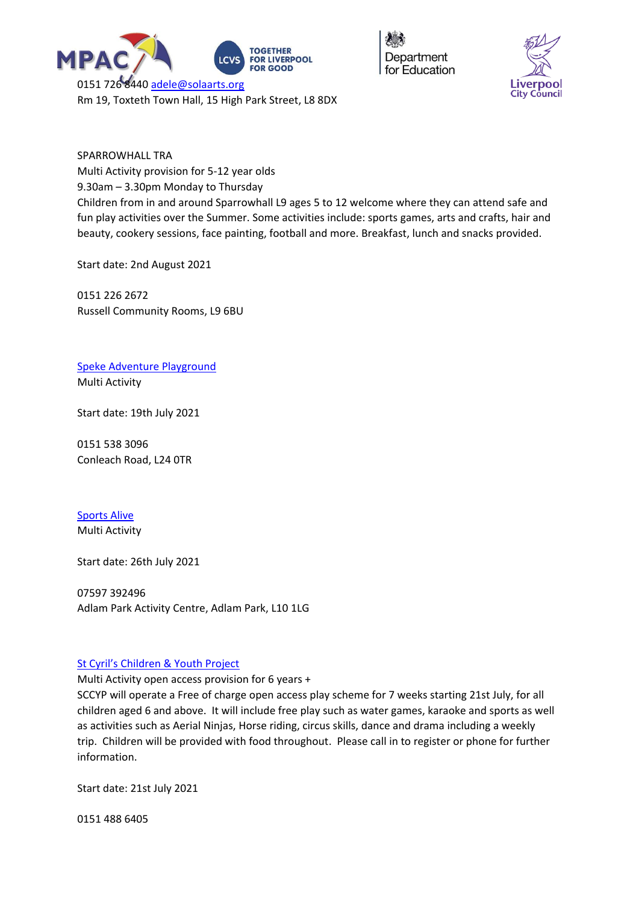



SPARROWHALL TRA Multi Activity provision for 5-12 year olds 9.30am – 3.30pm Monday to Thursday Children from in and around Sparrowhall L9 ages 5 to 12 welcome where they can attend safe and fun play activities over the Summer. Some activities include: sports games, arts and crafts, hair and beauty, cookery sessions, face painting, football and more. Breakfast, lunch and snacks provided.

Start date: 2nd August 2021

0151 226 2672 Russell Community Rooms, L9 6BU

[Speke Adventure Playground](http://www.spekeadventure.co.uk/) Multi Activity

Start date: 19th July 2021

0151 538 3096 Conleach Road, L24 0TR

[Sports Alive](https://www.sports-alive.org/) Multi Activity

Start date: 26th July 2021

07597 392496 Adlam Park Activity Centre, Adlam Park, L10 1LG

#### [St Cyril's Children & Youth Project](https://www.facebook.com/sccypkids)

Multi Activity open access provision for 6 years +

SCCYP will operate a Free of charge open access play scheme for 7 weeks starting 21st July, for all children aged 6 and above. It will include free play such as water games, karaoke and sports as well as activities such as Aerial Ninjas, Horse riding, circus skills, dance and drama including a weekly trip. Children will be provided with food throughout. Please call in to register or phone for further information.

Start date: 21st July 2021

0151 488 6405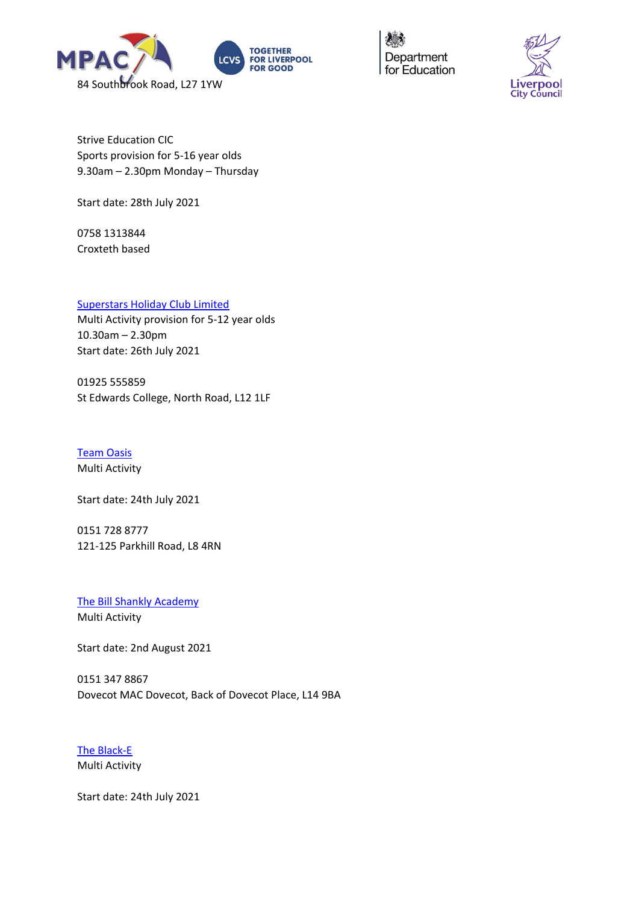



Strive Education CIC Sports provision for 5-16 year olds 9.30am – 2.30pm Monday – Thursday

Start date: 28th July 2021

0758 1313844 Croxteth based

# [Superstars Holiday Club Limited](http://www.littlesuperstars.co.uk/)

Multi Activity provision for 5-12 year olds 10.30am – 2.30pm Start date: 26th July 2021

01925 555859 St Edwards College, North Road, L12 1LF

[Team Oasis](https://www.theteamoasis.org/) Multi Activity

Start date: 24th July 2021

0151 728 8777 121-125 Parkhill Road, L8 4RN

[The Bill Shankly Academy](https://thebillshanklyacademy.co.uk/) Multi Activity

Start date: 2nd August 2021

0151 347 8867 Dovecot MAC Dovecot, Back of Dovecot Place, L14 9BA

[The Black-E](https://theblack-e.co.uk/) Multi Activity

Start date: 24th July 2021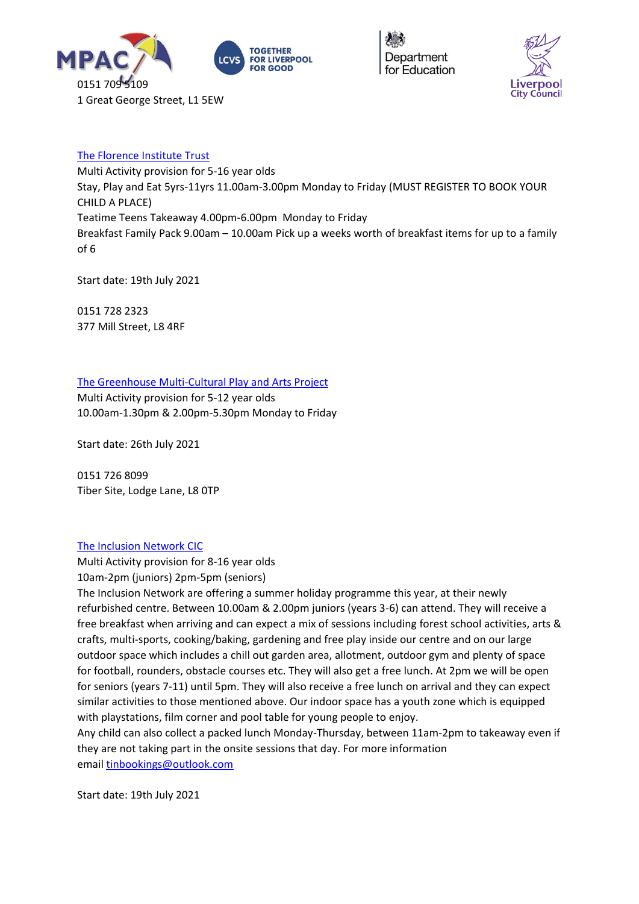





# [The Florence Institute Trust](https://www.theflorrie.org/)

Multi Activity provision for 5-16 year olds Stay, Play and Eat 5yrs-11yrs 11.00am-3.00pm Monday to Friday (MUST REGISTER TO BOOK YOUR CHILD A PLACE) Teatime Teens Takeaway 4.00pm-6.00pm Monday to Friday Breakfast Family Pack 9.00am – 10.00am Pick up a weeks worth of breakfast items for up to a family of 6

Start date: 19th July 2021

0151 728 2323 377 Mill Street, L8 4RF

[The Greenhouse Multi-Cultural Play and Arts Project](https://www.greenhouseproject.org.uk/)

Multi Activity provision for 5-12 year olds 10.00am-1.30pm & 2.00pm-5.30pm Monday to Friday

Start date: 26th July 2021

0151 726 8099 Tiber Site, Lodge Lane, L8 0TP

#### [The Inclusion Network CIC](https://theinclusionnetwork.uk/)

Multi Activity provision for 8-16 year olds 10am-2pm (juniors) 2pm-5pm (seniors)

The Inclusion Network are offering a summer holiday programme this year, at their newly refurbished centre. Between 10.00am & 2.00pm juniors (years 3-6) can attend. They will receive a free breakfast when arriving and can expect a mix of sessions including forest school activities, arts & crafts, multi-sports, cooking/baking, gardening and free play inside our centre and on our large outdoor space which includes a chill out garden area, allotment, outdoor gym and plenty of space for football, rounders, obstacle courses etc. They will also get a free lunch. At 2pm we will be open for seniors (years 7-11) until 5pm. They will also receive a free lunch on arrival and they can expect similar activities to those mentioned above. Our indoor space has a youth zone which is equipped with playstations, film corner and pool table for young people to enjoy.

Any child can also collect a packed lunch Monday-Thursday, between 11am-2pm to takeaway even if they are not taking part in the onsite sessions that day. For more information email [tinbookings@outlook.com](mailto:tinbookings@outlook.com)

Start date: 19th July 2021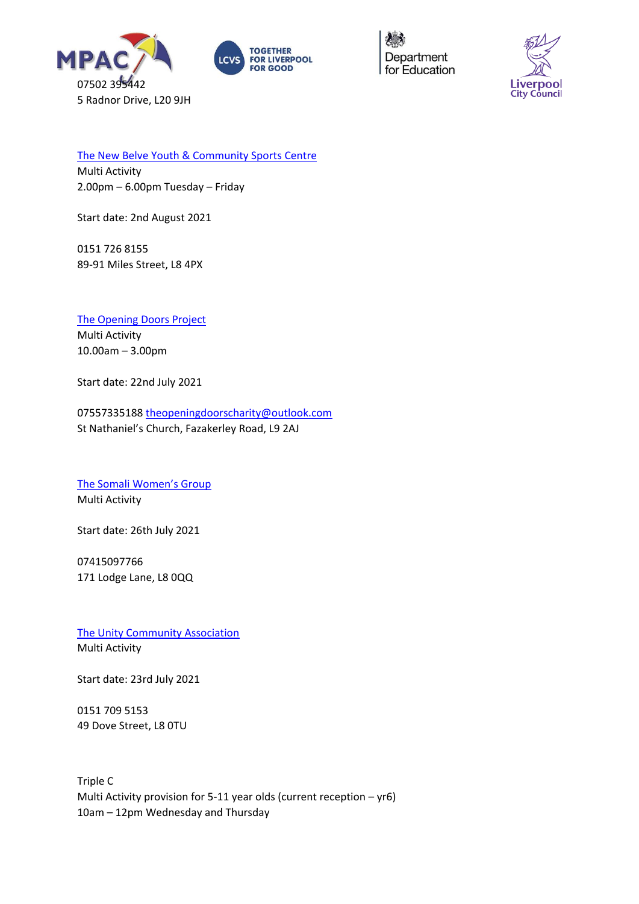





[The New Belve Youth & Community Sports](https://www.facebook.com/NewBelve) Centre

Multi Activity 2.00pm – 6.00pm Tuesday – Friday

Start date: 2nd August 2021

0151 726 8155 89-91 Miles Street, L8 4PX

[The Opening Doors Project](https://openingdoorsproject.org.uk/) Multi Activity 10.00am – 3.00pm

Start date: 22nd July 2021

07557335188 [theopeningdoorscharity@outlook.com](mailto:Theopeningdoorscharity@outlook..com) St Nathaniel's Church, Fazakerley Road, L9 2AJ

[The Somali Women's Group](https://swg.org.uk/) Multi Activity

Start date: 26th July 2021

07415097766 171 Lodge Lane, L8 0QQ

[The Unity Community Association](https://www.facebook.com/Unity-Community-Association-1397400053833036/) Multi Activity

Start date: 23rd July 2021

0151 709 5153 49 Dove Street, L8 0TU

Triple C Multi Activity provision for 5-11 year olds (current reception – yr6) 10am – 12pm Wednesday and Thursday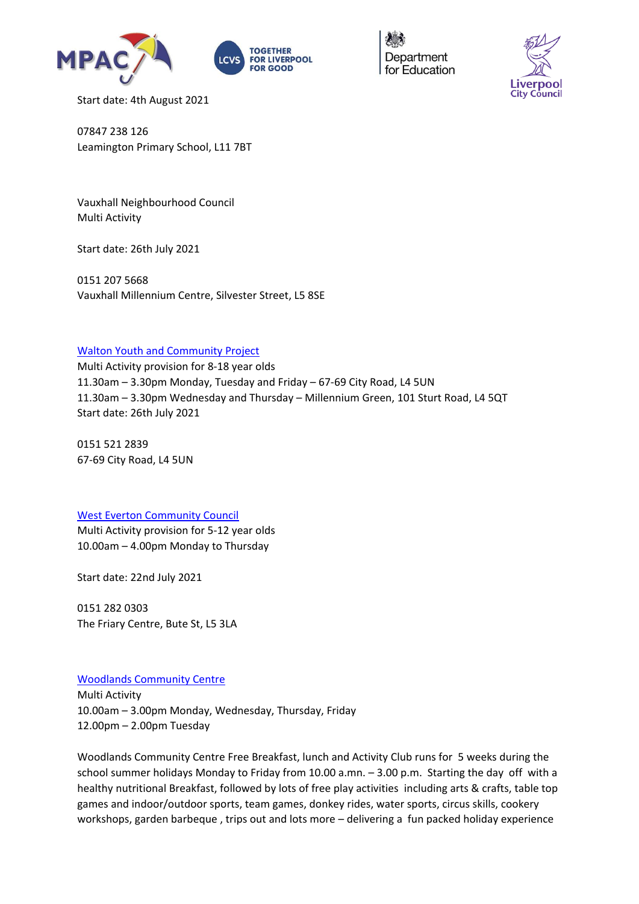





Start date: 4th August 2021

07847 238 126 Leamington Primary School, L11 7BT

Vauxhall Neighbourhood Council Multi Activity

Start date: 26th July 2021

0151 207 5668 Vauxhall Millennium Centre, Silvester Street, L5 8SE

#### [Walton Youth and Community Project](http://www.waltonyouthproject.co.uk/)

Multi Activity provision for 8-18 year olds 11.30am – 3.30pm Monday, Tuesday and Friday – 67-69 City Road, L4 5UN 11.30am – 3.30pm Wednesday and Thursday – Millennium Green, 101 Sturt Road, L4 5QT Start date: 26th July 2021

0151 521 2839 67-69 City Road, L4 5UN

#### [West Everton Community Council](http://www.westevertoncc.co.uk/)

Multi Activity provision for 5-12 year olds 10.00am – 4.00pm Monday to Thursday

Start date: 22nd July 2021

0151 282 0303 The Friary Centre, Bute St, L5 3LA

# [Woodlands Community Centre](https://www.facebook.com/pages/Woodlands%20Community%20Centre/303459883061921/)

Multi Activity 10.00am – 3.00pm Monday, Wednesday, Thursday, Friday 12.00pm – 2.00pm Tuesday

Woodlands Community Centre Free Breakfast, lunch and Activity Club runs for 5 weeks during the school summer holidays Monday to Friday from 10.00 a.mn. – 3.00 p.m. Starting the day off with a healthy nutritional Breakfast, followed by lots of free play activities including arts & crafts, table top games and indoor/outdoor sports, team games, donkey rides, water sports, circus skills, cookery workshops, garden barbeque , trips out and lots more – delivering a fun packed holiday experience